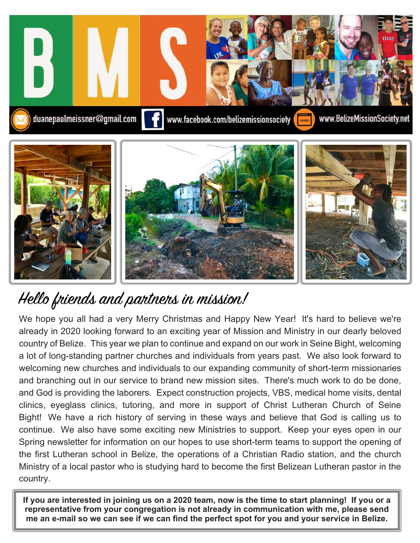

## Hello friends and partners in mission!

ww.Belizem.com We hope you all had a very Merry Christmas and Happy New Year! It's hard to believe we're already in 2020 looking forward to an exciting year of Mission and Ministry in our dearly beloved country of Belize. This year we plan to continue and expand on our work in Seine Bight, welcoming a lot of long-standing partner churches and individuals from years past. We also look forward to welcoming new churches and individuals to our expanding community of short-term missionaries and branching out in our service to brand new mission sites. There's much work to do be done, and God is providing the laborers. Expect construction projects, VBS, medical home visits, dental clinics, eyeglass clinics, tutoring, and more in support of Christ Lutheran Church of Seine Bight! We have a rich history of serving in these ways and believe that God is calling us to continue. We also have some exciting new Ministries to support. Keep your eyes open in our Spring newsletter for information on our hopes to use short-term teams to support the opening of the first Lutheran school in Belize, the operations of a Christian Radio station, and the church Ministry of a local pastor who is studying hard to become the first Belizean Lutheran pastor in the country.

**If you are interested in joining us on a 2020 team, now is the time to start planning! If you or a representative from your congregation is not already in communication with me, please send me an e-mail so we can see if we can find the perfect spot for you and your service in Belize.**

 $\overline{a}$